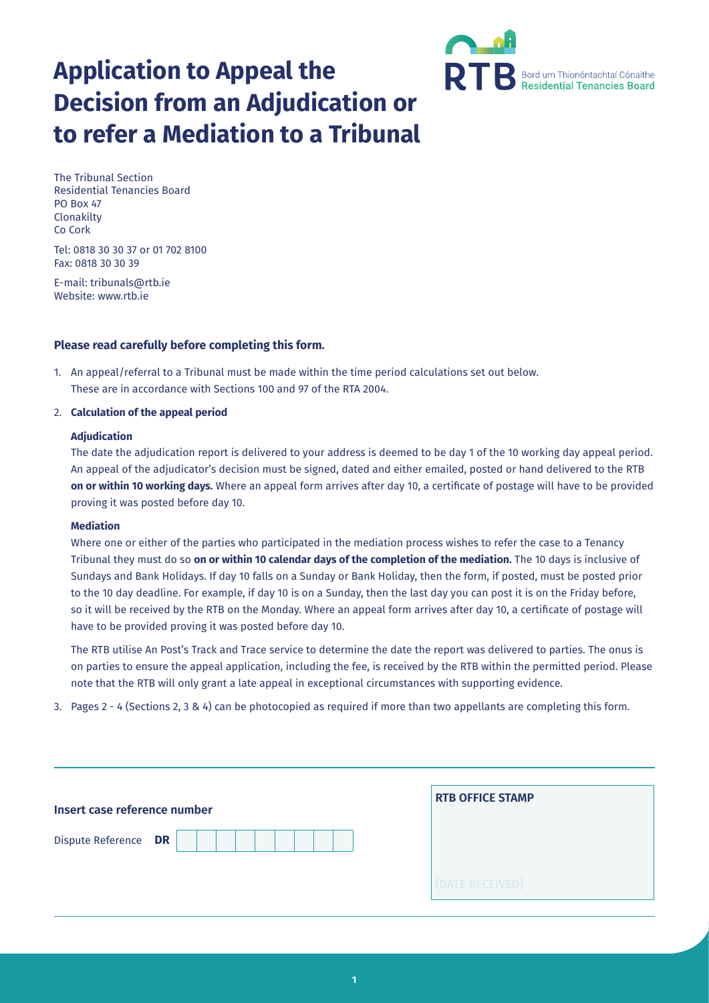

# **Application to Appeal the Decision from an Adjudication or to refer a Mediation to a Tribunal**

The Tribunal Section Residential Tenancies Board PO Box 47 **Clonakilty** Co Cork

Tel: 0818 30 30 37 or 01 702 8100 Fax: 0818 30 30 39

E-mail: tribunals@rtb.ie Website: www.rtb.ie

### **Please read carefully before completing this form.**

1. An appeal/referral to a Tribunal must be made within the time period calculations set out below. These are in accordance with Sections 100 and 97 of the RTA 2004.

#### 2. **Calculation of the appeal period**

#### **Adjudication**

The date the adjudication report is delivered to your address is deemed to be day 1 of the 10 working day appeal period. An appeal of the adjudicator's decision must be signed, dated and either emailed, posted or hand delivered to the RTB **on or within 10 working days.** Where an appeal form arrives after day 10, a certificate of postage will have to be provided proving it was posted before day 10.

#### **Mediation**

Where one or either of the parties who participated in the mediation process wishes to refer the case to a Tenancy Tribunal they must do so **on or within 10 calendar days of the completion of the mediation.** The 10 days is inclusive of Sundays and Bank Holidays. If day 10 falls on a Sunday or Bank Holiday, then the form, if posted, must be posted prior to the 10 day deadline. For example, if day 10 is on a Sunday, then the last day you can post it is on the Friday before, so it will be received by the RTB on the Monday. Where an appeal form arrives after day 10, a certificate of postage will have to be provided proving it was posted before day 10.

The RTB utilise An Post's Track and Trace service to determine the date the report was delivered to parties. The onus is on parties to ensure the appeal application, including the fee, is received by the RTB within the permitted period. Please note that the RTB will only grant a late appeal in exceptional circumstances with supporting evidence.

3. Pages 2 - 4 (Sections 2, 3 & 4) can be photocopied as required if more than two appellants are completing this form.

| Insert case reference number | <b>RTB OFFICE STAMP</b> |
|------------------------------|-------------------------|
| Dispute Reference DR         |                         |
|                              |                         |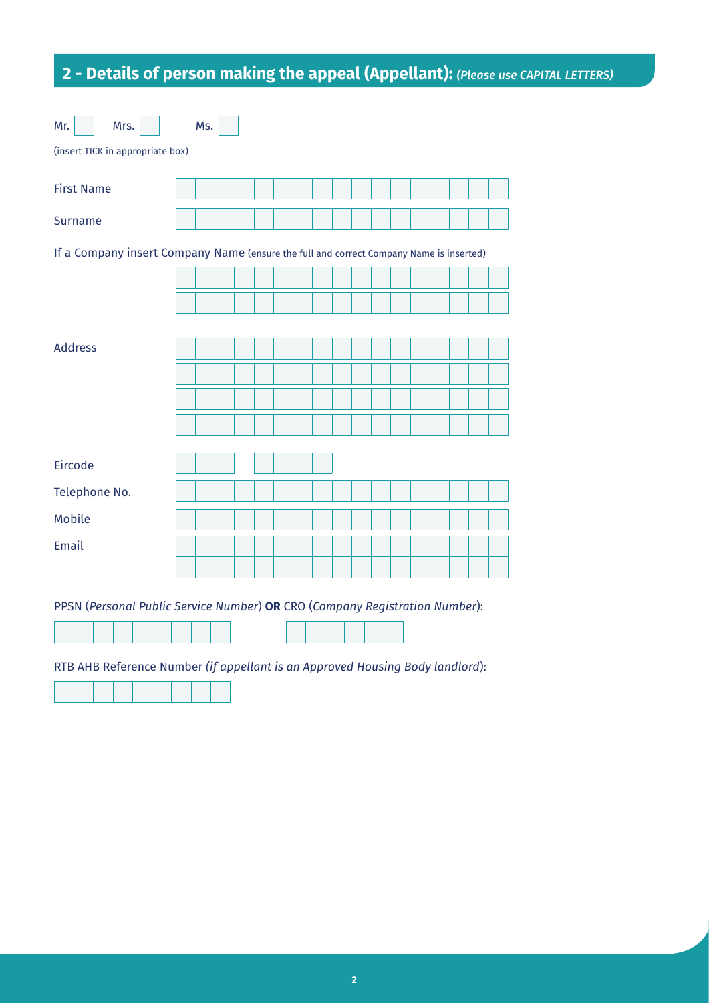# **2 - Details of person making the appeal (Appellant):** *(Please use CAPITAL LETTERS)*

| Mrs.<br>Mr.                                                                                                                                                  |  | Ms. |  |  |  |  |  |  |  |  |  |  |
|--------------------------------------------------------------------------------------------------------------------------------------------------------------|--|-----|--|--|--|--|--|--|--|--|--|--|
| (insert TICK in appropriate box)                                                                                                                             |  |     |  |  |  |  |  |  |  |  |  |  |
| <b>First Name</b>                                                                                                                                            |  |     |  |  |  |  |  |  |  |  |  |  |
| <b>Surname</b>                                                                                                                                               |  |     |  |  |  |  |  |  |  |  |  |  |
| If a Company insert Company Name (ensure the full and correct Company Name is inserted)                                                                      |  |     |  |  |  |  |  |  |  |  |  |  |
|                                                                                                                                                              |  |     |  |  |  |  |  |  |  |  |  |  |
|                                                                                                                                                              |  |     |  |  |  |  |  |  |  |  |  |  |
|                                                                                                                                                              |  |     |  |  |  |  |  |  |  |  |  |  |
| <b>Address</b>                                                                                                                                               |  |     |  |  |  |  |  |  |  |  |  |  |
|                                                                                                                                                              |  |     |  |  |  |  |  |  |  |  |  |  |
|                                                                                                                                                              |  |     |  |  |  |  |  |  |  |  |  |  |
|                                                                                                                                                              |  |     |  |  |  |  |  |  |  |  |  |  |
|                                                                                                                                                              |  |     |  |  |  |  |  |  |  |  |  |  |
| Eircode                                                                                                                                                      |  |     |  |  |  |  |  |  |  |  |  |  |
| Telephone No.                                                                                                                                                |  |     |  |  |  |  |  |  |  |  |  |  |
| Mobile                                                                                                                                                       |  |     |  |  |  |  |  |  |  |  |  |  |
| Email                                                                                                                                                        |  |     |  |  |  |  |  |  |  |  |  |  |
|                                                                                                                                                              |  |     |  |  |  |  |  |  |  |  |  |  |
| PPSN (Personal Public Service Number) OR CRO (Company Registration Number):<br>RTB AHB Reference Number (if appellant is an Approved Housing Body landlord): |  |     |  |  |  |  |  |  |  |  |  |  |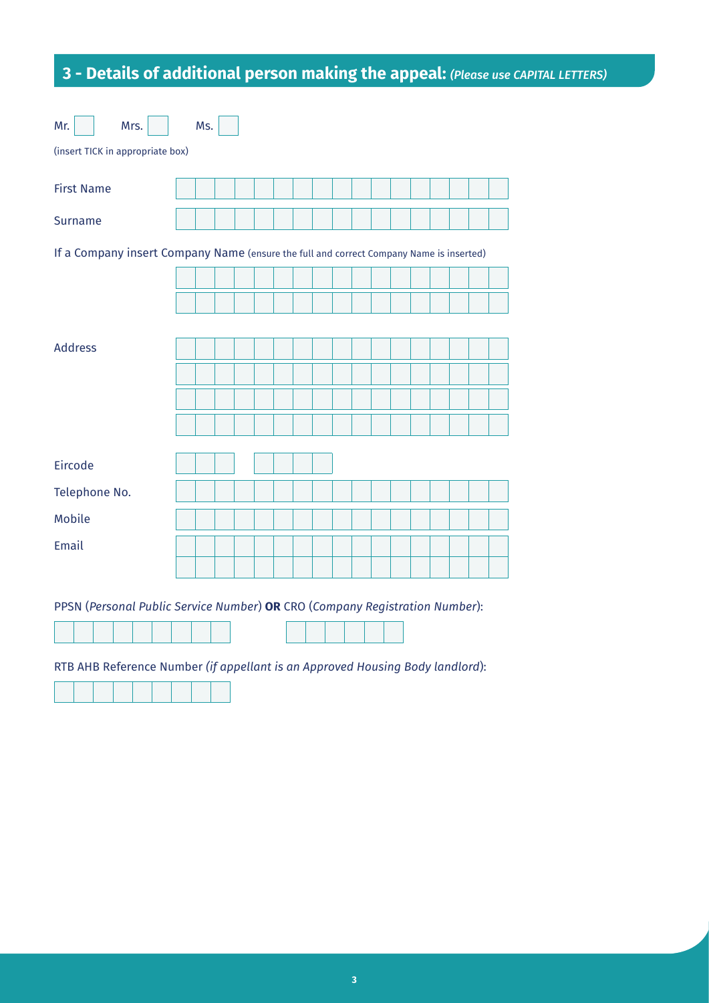# **3 - Details of additional person making the appeal:** *(Please use CAPITAL LETTERS)*

| Mr.<br>Mrs.                                                                             |  | Ms. |  |  |  |  |  |  |  |  |  |  |
|-----------------------------------------------------------------------------------------|--|-----|--|--|--|--|--|--|--|--|--|--|
| (insert TICK in appropriate box)                                                        |  |     |  |  |  |  |  |  |  |  |  |  |
| <b>First Name</b>                                                                       |  |     |  |  |  |  |  |  |  |  |  |  |
| <b>Surname</b>                                                                          |  |     |  |  |  |  |  |  |  |  |  |  |
| If a Company insert Company Name (ensure the full and correct Company Name is inserted) |  |     |  |  |  |  |  |  |  |  |  |  |
|                                                                                         |  |     |  |  |  |  |  |  |  |  |  |  |
|                                                                                         |  |     |  |  |  |  |  |  |  |  |  |  |
|                                                                                         |  |     |  |  |  |  |  |  |  |  |  |  |
| <b>Address</b>                                                                          |  |     |  |  |  |  |  |  |  |  |  |  |
|                                                                                         |  |     |  |  |  |  |  |  |  |  |  |  |
|                                                                                         |  |     |  |  |  |  |  |  |  |  |  |  |
|                                                                                         |  |     |  |  |  |  |  |  |  |  |  |  |
|                                                                                         |  |     |  |  |  |  |  |  |  |  |  |  |
| Eircode                                                                                 |  |     |  |  |  |  |  |  |  |  |  |  |
| Telephone No.                                                                           |  |     |  |  |  |  |  |  |  |  |  |  |
| Mobile                                                                                  |  |     |  |  |  |  |  |  |  |  |  |  |
| Email                                                                                   |  |     |  |  |  |  |  |  |  |  |  |  |
|                                                                                         |  |     |  |  |  |  |  |  |  |  |  |  |
| PPSN (Personal Public Service Number) OR CRO (Company Registration Number):             |  |     |  |  |  |  |  |  |  |  |  |  |
|                                                                                         |  |     |  |  |  |  |  |  |  |  |  |  |
| RTB AHB Reference Number (if appellant is an Approved Housing Body landlord):           |  |     |  |  |  |  |  |  |  |  |  |  |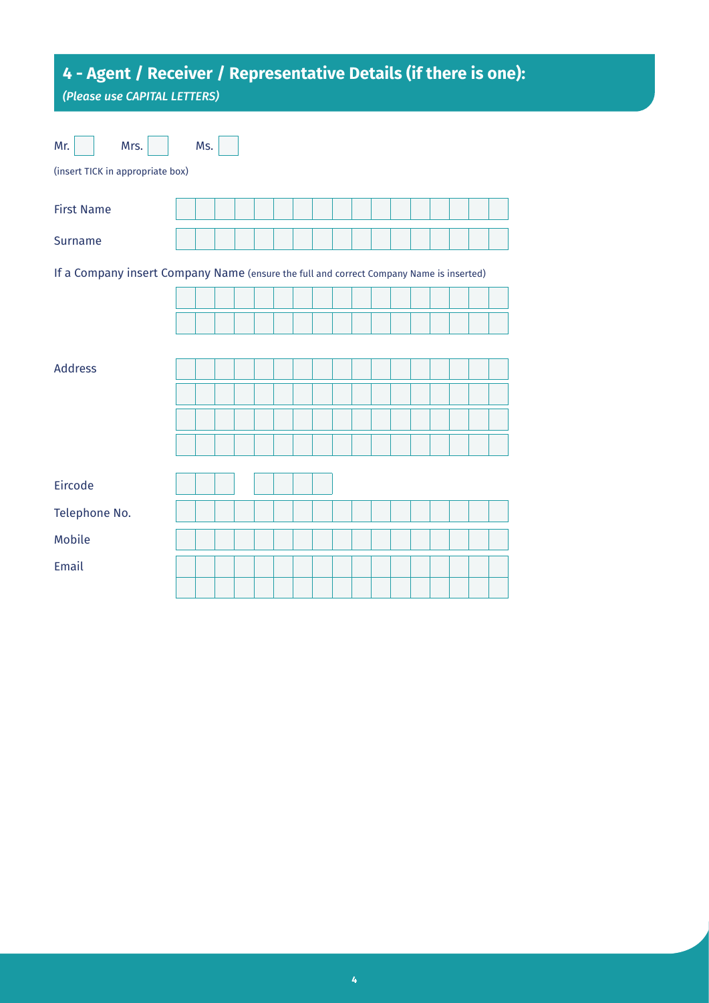# **4 - Agent / Receiver / Representative Details (if there is one):**

*(Please use CAPITAL LETTERS)*

| Mr.<br>Mrs.                                                                             |  | Ms. |  |  |  |  |  |  |  |  |  |  |
|-----------------------------------------------------------------------------------------|--|-----|--|--|--|--|--|--|--|--|--|--|
| (insert TICK in appropriate box)                                                        |  |     |  |  |  |  |  |  |  |  |  |  |
| <b>First Name</b>                                                                       |  |     |  |  |  |  |  |  |  |  |  |  |
| <b>Surname</b>                                                                          |  |     |  |  |  |  |  |  |  |  |  |  |
| If a Company insert Company Name (ensure the full and correct Company Name is inserted) |  |     |  |  |  |  |  |  |  |  |  |  |
|                                                                                         |  |     |  |  |  |  |  |  |  |  |  |  |
|                                                                                         |  |     |  |  |  |  |  |  |  |  |  |  |
|                                                                                         |  |     |  |  |  |  |  |  |  |  |  |  |
| <b>Address</b>                                                                          |  |     |  |  |  |  |  |  |  |  |  |  |
|                                                                                         |  |     |  |  |  |  |  |  |  |  |  |  |
|                                                                                         |  |     |  |  |  |  |  |  |  |  |  |  |
|                                                                                         |  |     |  |  |  |  |  |  |  |  |  |  |
| Eircode                                                                                 |  |     |  |  |  |  |  |  |  |  |  |  |
|                                                                                         |  |     |  |  |  |  |  |  |  |  |  |  |
| Telephone No.                                                                           |  |     |  |  |  |  |  |  |  |  |  |  |
| Mobile                                                                                  |  |     |  |  |  |  |  |  |  |  |  |  |
| Email                                                                                   |  |     |  |  |  |  |  |  |  |  |  |  |
|                                                                                         |  |     |  |  |  |  |  |  |  |  |  |  |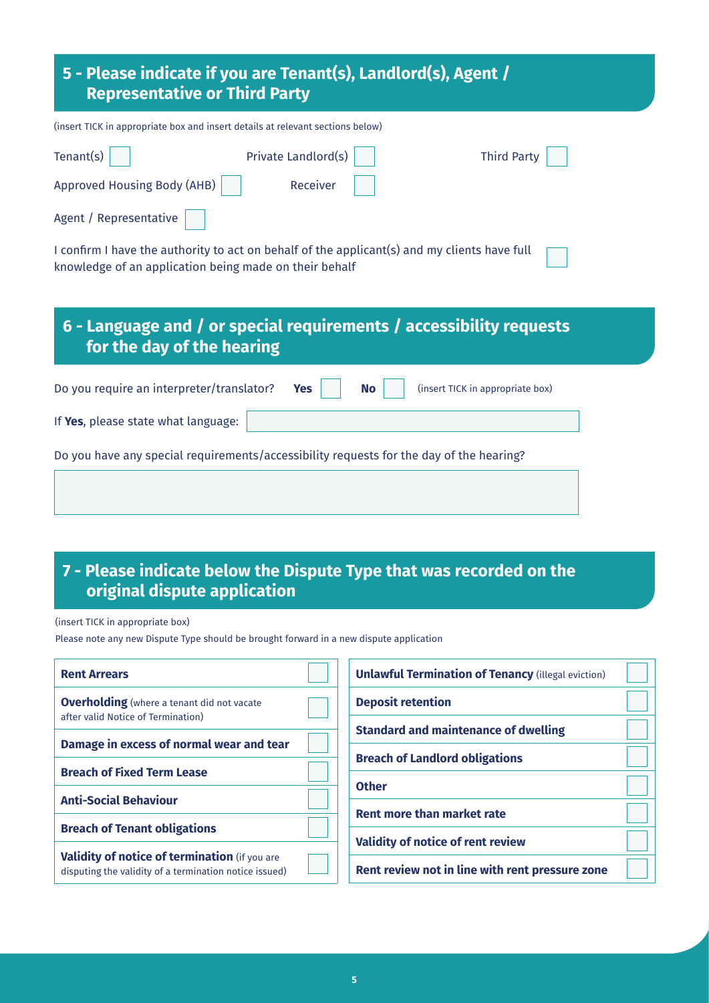| 5 - Please indicate if you are Tenant(s), Landlord(s), Agent /<br><b>Representative or Third Party</b>                                                 |  |  |  |  |  |  |  |  |
|--------------------------------------------------------------------------------------------------------------------------------------------------------|--|--|--|--|--|--|--|--|
| (insert TICK in appropriate box and insert details at relevant sections below)                                                                         |  |  |  |  |  |  |  |  |
| Tenant(s)<br>Private Landlord(s)<br><b>Third Party</b>                                                                                                 |  |  |  |  |  |  |  |  |
| Approved Housing Body (AHB)<br>Receiver                                                                                                                |  |  |  |  |  |  |  |  |
| Agent / Representative                                                                                                                                 |  |  |  |  |  |  |  |  |
| I confirm I have the authority to act on behalf of the applicant(s) and my clients have full<br>knowledge of an application being made on their behalf |  |  |  |  |  |  |  |  |
| 6 - Language and / or special requirements / accessibility requests<br>for the day of the hearing                                                      |  |  |  |  |  |  |  |  |
|                                                                                                                                                        |  |  |  |  |  |  |  |  |
| Do you require an interpreter/translator?<br>(insert TICK in appropriate box)<br><b>Yes</b><br><b>No</b>                                               |  |  |  |  |  |  |  |  |
| If Yes, please state what language:                                                                                                                    |  |  |  |  |  |  |  |  |
| Do you have any special requirements/accessibility requests for the day of the hearing?                                                                |  |  |  |  |  |  |  |  |

### **7 - Please indicate below the Dispute Type that was recorded on the original dispute application**

(insert TICK in appropriate box)

Please note any new Dispute Type should be brought forward in a new dispute application

| <b>Rent Arrears</b>                                                                                     | <b>Unlawful Termination of Tenancy (illegal eviction)</b> |  |  |  |  |  |
|---------------------------------------------------------------------------------------------------------|-----------------------------------------------------------|--|--|--|--|--|
| <b>Overholding</b> (where a tenant did not vacate                                                       | <b>Deposit retention</b>                                  |  |  |  |  |  |
| after valid Notice of Termination)                                                                      | <b>Standard and maintenance of dwelling</b>               |  |  |  |  |  |
| Damage in excess of normal wear and tear                                                                | <b>Breach of Landlord obligations</b>                     |  |  |  |  |  |
| <b>Breach of Fixed Term Lease</b>                                                                       | <b>Other</b>                                              |  |  |  |  |  |
| <b>Anti-Social Behaviour</b>                                                                            | <b>Rent more than market rate</b>                         |  |  |  |  |  |
| <b>Breach of Tenant obligations</b>                                                                     | <b>Validity of notice of rent review</b>                  |  |  |  |  |  |
| Validity of notice of termination (if you are<br>disputing the validity of a termination notice issued) | Rent review not in line with rent pressure zone           |  |  |  |  |  |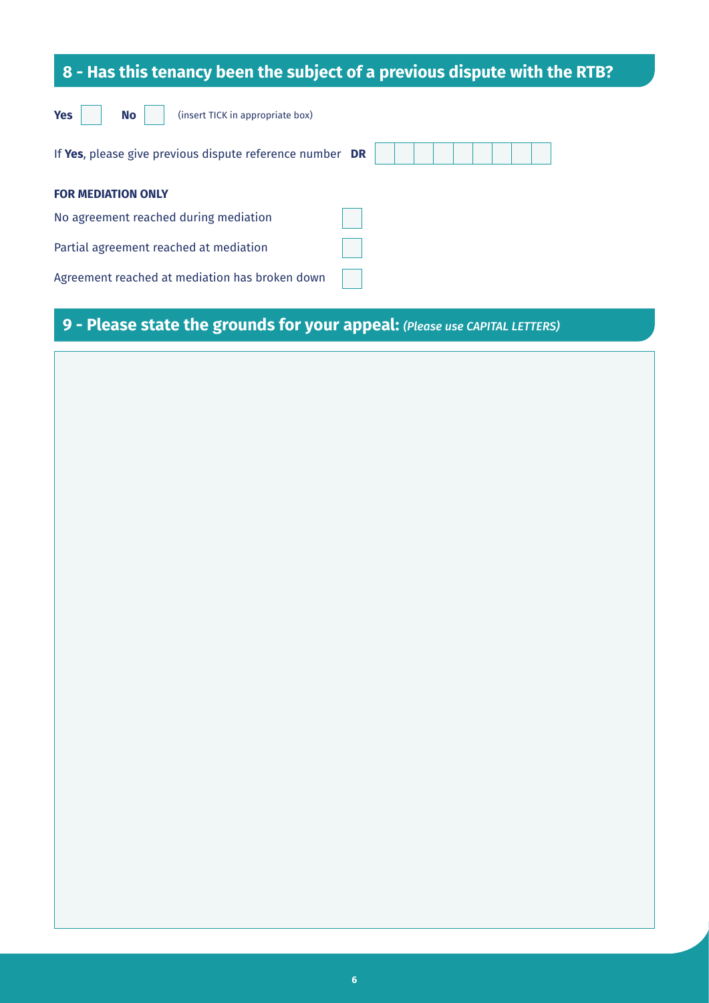## **8 - Has this tenancy been the subject of a previous dispute with the RTB?**

| <b>Yes</b><br><b>No</b><br>(insert TICK in appropriate box) |  |
|-------------------------------------------------------------|--|
| If Yes, please give previous dispute reference number DR    |  |
| <b>FOR MEDIATION ONLY</b>                                   |  |
| No agreement reached during mediation                       |  |
| Partial agreement reached at mediation                      |  |
| Agreement reached at mediation has broken down              |  |

## **9 - Please state the grounds for your appeal:** *(Please use CAPITAL LETTERS)*

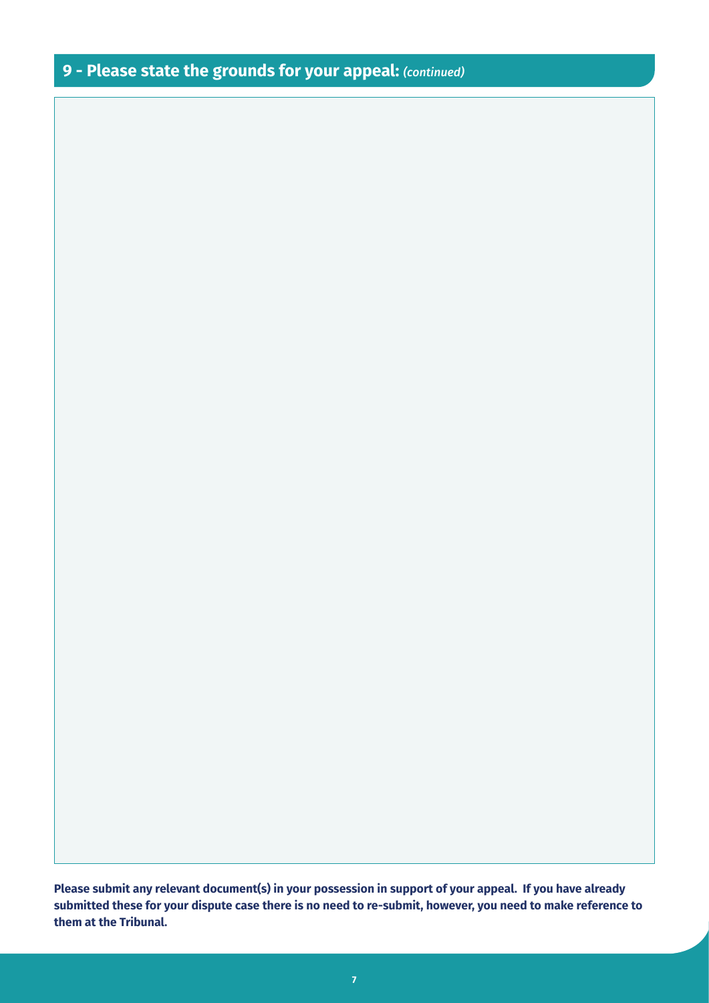## **9 - Please state the grounds for your appeal:** *(continued)*

**Please submit any relevant document(s) in your possession in support of your appeal. If you have already submitted these for your dispute case there is no need to re-submit, however, you need to make reference to them at the Tribunal.**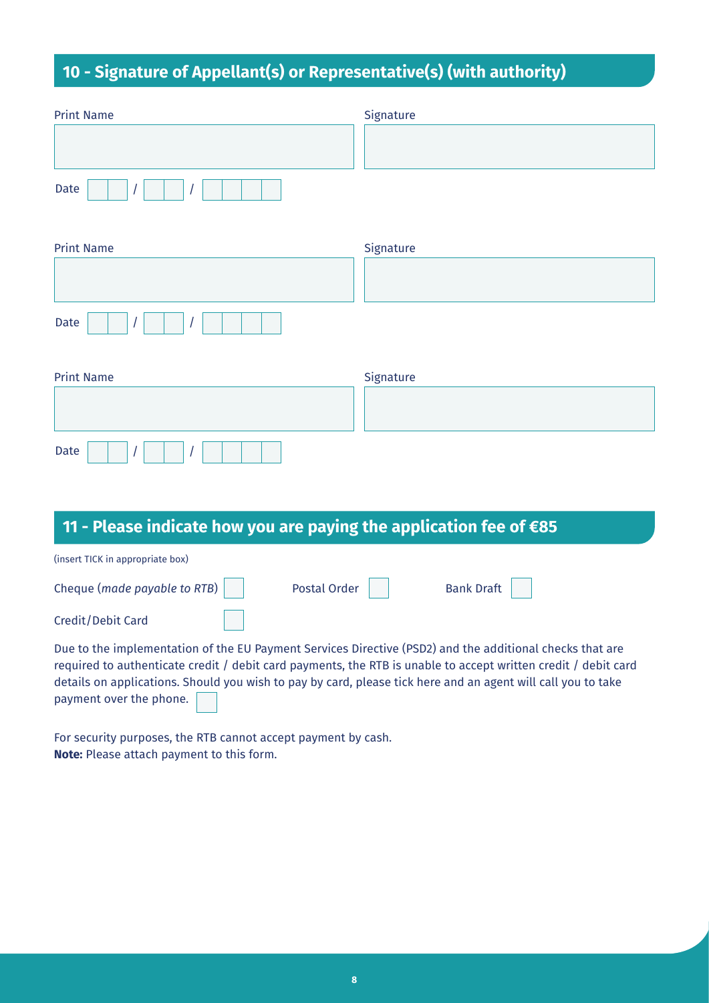## **10 - Signature of Appellant(s) or Representative(s) (with authority)**

| <b>Print Name</b> | Signature |
|-------------------|-----------|
|                   |           |
| Date              |           |
|                   |           |
| <b>Print Name</b> | Signature |
|                   |           |
| Date              |           |
|                   |           |
| <b>Print Name</b> | Signature |
|                   |           |
| Date<br>Ι         |           |
|                   |           |

| <b>11 − Please indicate how you are paying the application fee of <math>€85</math></b>                   |
|----------------------------------------------------------------------------------------------------------|
| (insert TICK in appropriate box)                                                                         |
| Bank Draft  <br>Cheque (made payable to RTB) $\vert$<br>Postal Order                                     |
| Credit/Debit Card                                                                                        |
| Due to the implementation of the EU Payment Services Directive (PSD2) and the additional checks that are |

required to authenticate credit / debit card payments, the RTB is unable to accept written credit / debit card details on applications. Should you wish to pay by card, please tick here and an agent will call you to take payment over the phone.

For security purposes, the RTB cannot accept payment by cash. **Note:** Please attach payment to this form.